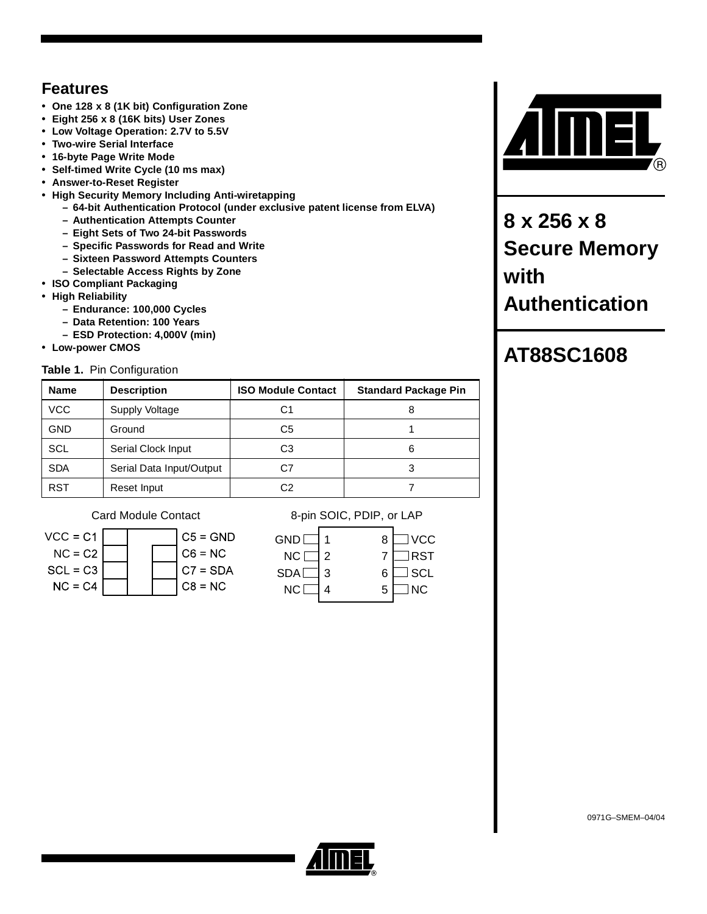# **Features**

- **One 128 x 8 (1K bit) Configuration Zone**
- **Eight 256 x 8 (16K bits) User Zones**
- **Low Voltage Operation: 2.7V to 5.5V**
- **Two-wire Serial Interface**
- **16-byte Page Write Mode**
- **Self-timed Write Cycle (10 ms max)**
- **Answer-to-Reset Register**
- **High Security Memory Including Anti-wiretapping**
	- **64-bit Authentication Protocol (under exclusive patent license from ELVA)**
	- **Authentication Attempts Counter**
	- **Eight Sets of Two 24-bit Passwords**
	- **Specific Passwords for Read and Write**
	- **Sixteen Password Attempts Counters**
	- **Selectable Access Rights by Zone**
- **ISO Compliant Packaging**
- **High Reliability**
	- **Endurance: 100,000 Cycles**
	- **Data Retention: 100 Years**
	- **ESD Protection: 4,000V (min)**
- **Low-power CMOS**

## **Table 1.** Pin Configuration

| <b>Name</b> | <b>Description</b>       | <b>ISO Module Contact</b> | <b>Standard Package Pin</b> |
|-------------|--------------------------|---------------------------|-----------------------------|
| <b>VCC</b>  | Supply Voltage           | C1                        |                             |
| <b>GND</b>  | Ground                   | C5                        |                             |
| <b>SCL</b>  | Serial Clock Input       | C3                        | 6                           |
| <b>SDA</b>  | Serial Data Input/Output | C7                        |                             |
| <b>RST</b>  | Reset Input              | C2                        |                             |



## Card Module Contact 8-pin SOIC, PDIP, or LAP

| <b>GND</b> |   | 8 | <b>VCC</b> |
|------------|---|---|------------|
| NC [       |   |   | RST!       |
| <b>SDA</b> | 3 | 6 | ] SCL      |
| NC I       |   | 5 | NC.        |
|            |   |   |            |



**8 x 256 x 8 Secure Memory with Authentication**

# **AT88SC1608**

0971G–SMEM–04/04

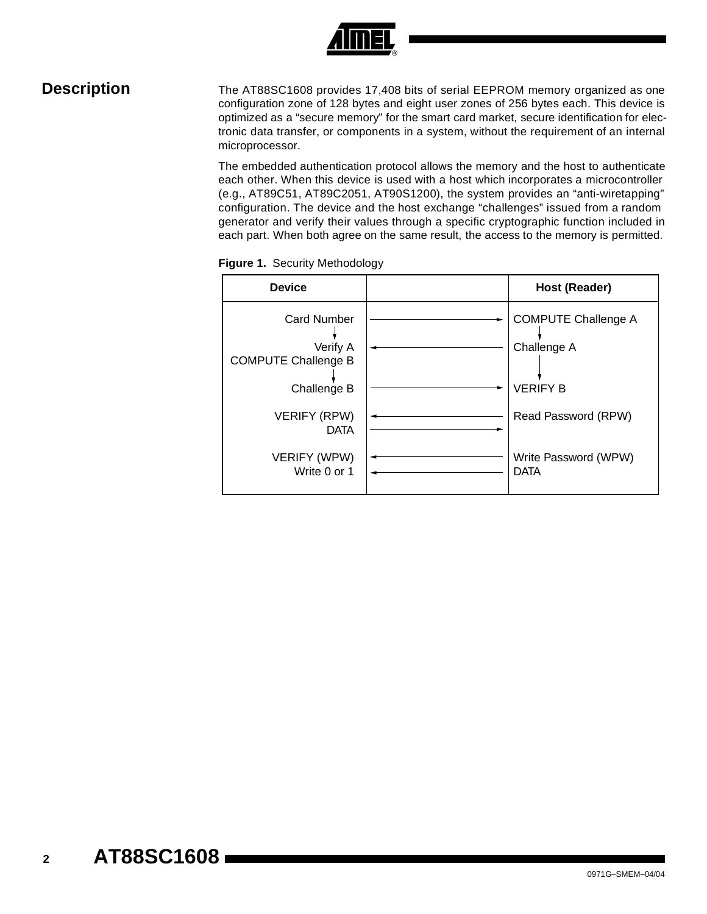

**Description** The AT88SC1608 provides 17,408 bits of serial EEPROM memory organized as one configuration zone of 128 bytes and eight user zones of 256 bytes each. This device is optimized as a "secure memory" for the smart card market, secure identification for electronic data transfer, or components in a system, without the requirement of an internal microprocessor.

> The embedded authentication protocol allows the memory and the host to authenticate each other. When this device is used with a host which incorporates a microcontroller (e.g., AT89C51, AT89C2051, AT90S1200), the system provides an "anti-wiretapping" configuration. The device and the host exchange "challenges" issued from a random generator and verify their values through a specific cryptographic function included in each part. When both agree on the same result, the access to the memory is permitted.

| <b>Device</b>                             | Host (Reader)                             |
|-------------------------------------------|-------------------------------------------|
| <b>Card Number</b><br>Verify A            | <b>COMPUTE Challenge A</b><br>Challenge A |
| <b>COMPUTE Challenge B</b><br>Challenge B | <b>VERIFY B</b>                           |
| <b>VERIFY (RPW)</b><br><b>DATA</b>        | Read Password (RPW)                       |
| VERIFY (WPW)<br>Write 0 or 1              | Write Password (WPW)<br><b>DATA</b>       |

**Figure 1.** Security Methodology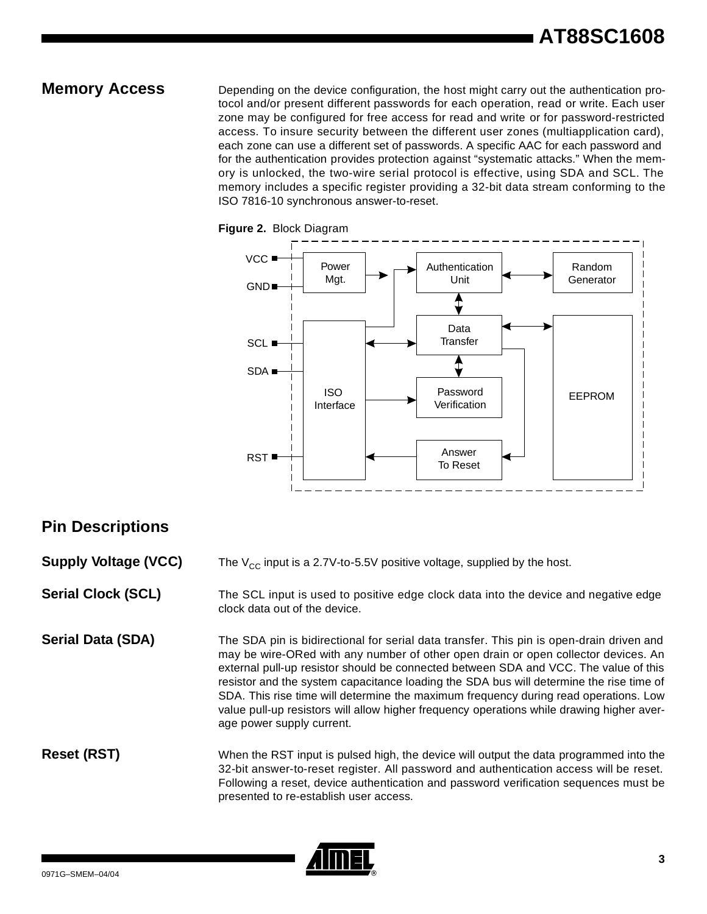**Memory Access** Depending on the device configuration, the host might carry out the authentication protocol and/or present different passwords for each operation, read or write. Each user zone may be configured for free access for read and write or for password-restricted access. To insure security between the different user zones (multiapplication card), each zone can use a different set of passwords. A specific AAC for each password and for the authentication provides protection against "systematic attacks." When the memory is unlocked, the two-wire serial protocol is effective, using SDA and SCL. The memory includes a specific register providing a 32-bit data stream conforming to the ISO 7816-10 synchronous answer-to-reset.





# **Pin Descriptions**

**Supply Voltage (VCC)** The V<sub>CC</sub> input is a 2.7V-to-5.5V positive voltage, supplied by the host.

**Serial Clock (SCL)** The SCL input is used to positive edge clock data into the device and negative edge clock data out of the device.

**Serial Data (SDA)** The SDA pin is bidirectional for serial data transfer. This pin is open-drain driven and may be wire-ORed with any number of other open drain or open collector devices. An external pull-up resistor should be connected between SDA and VCC. The value of this resistor and the system capacitance loading the SDA bus will determine the rise time of SDA. This rise time will determine the maximum frequency during read operations. Low value pull-up resistors will allow higher frequency operations while drawing higher average power supply current.

**Reset (RST)** When the RST input is pulsed high, the device will output the data programmed into the 32-bit answer-to-reset register. All password and authentication access will be reset. Following a reset, device authentication and password verification sequences must be presented to re-establish user access.

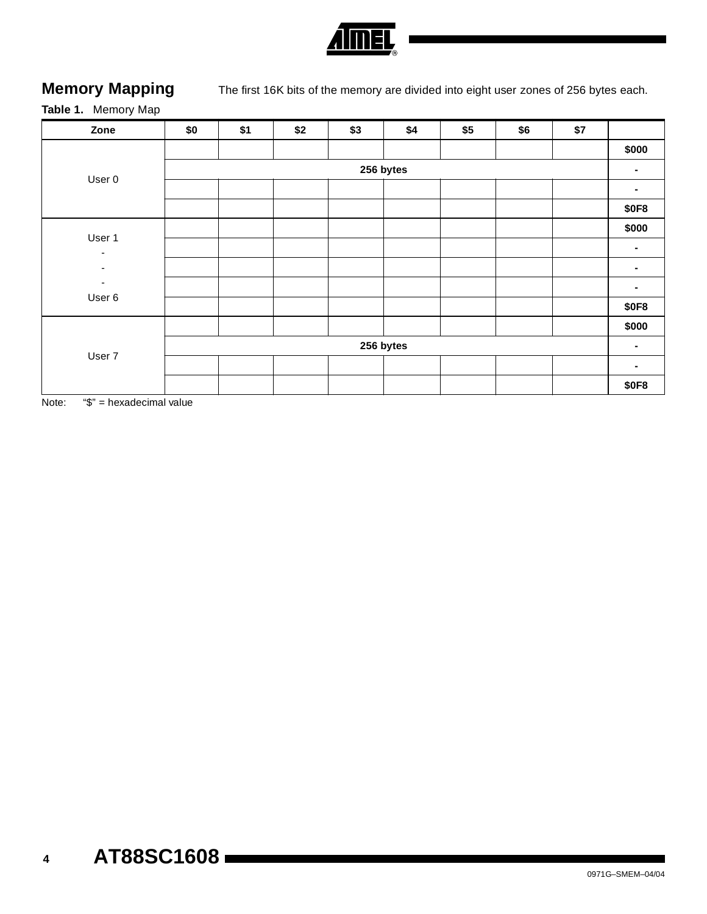

**Memory Mapping** The first 16K bits of the memory are divided into eight user zones of 256 bytes each.

# **Table 1.** Memory Map

| Zone                               | \$0       | \$1 | \$2 | \$3 | \$4       | \$5 | \$6 | \$7 |                |  |  |
|------------------------------------|-----------|-----|-----|-----|-----------|-----|-----|-----|----------------|--|--|
|                                    |           |     |     |     |           |     |     |     | \$000          |  |  |
|                                    | 256 bytes |     |     |     |           |     |     |     |                |  |  |
| User 0                             |           |     |     |     |           |     |     |     | ۰.             |  |  |
|                                    |           |     |     |     |           |     |     |     | <b>\$0F8</b>   |  |  |
| User 1                             |           |     |     |     |           |     |     |     | \$000          |  |  |
| $\overline{\phantom{a}}$           |           |     |     |     |           |     |     |     | ۰.             |  |  |
| $\overline{\phantom{a}}$           |           |     |     |     |           |     |     |     | $\blacksquare$ |  |  |
| $\overline{\phantom{a}}$<br>User 6 |           |     |     |     |           |     |     |     |                |  |  |
|                                    |           |     |     |     |           |     |     |     | <b>\$0F8</b>   |  |  |
|                                    |           |     |     |     |           |     |     |     | \$000          |  |  |
| User 7                             |           |     |     |     | 256 bytes |     |     |     | $\blacksquare$ |  |  |
|                                    |           |     |     |     |           |     |     |     | ۰.             |  |  |
|                                    |           |     |     |     |           |     |     |     | <b>\$0F8</b>   |  |  |

Note: "\$" = hexadecimal value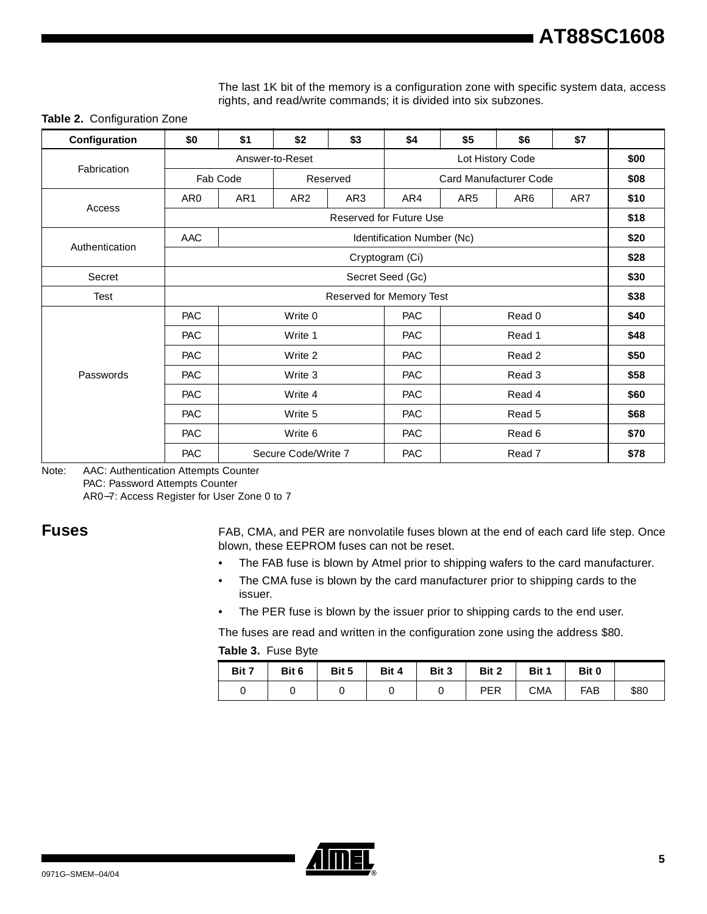The last 1K bit of the memory is a configuration zone with specific system data, access rights, and read/write commands; it is divided into six subzones.

**Table 2.** Configuration Zone

| Configuration  | \$0              | \$1      | \$2                 | \$3                      | \$4                            | \$5             | \$6                    | \$7 |      |
|----------------|------------------|----------|---------------------|--------------------------|--------------------------------|-----------------|------------------------|-----|------|
| Fabrication    |                  |          | Answer-to-Reset     |                          |                                | \$00            |                        |     |      |
|                |                  | Fab Code |                     | Reserved                 |                                |                 | Card Manufacturer Code |     | \$08 |
|                | AR0              | AR1      | AR <sub>2</sub>     | AR3                      | AR4                            | AR <sub>5</sub> | AR <sub>6</sub>        | AR7 | \$10 |
| Access         |                  |          |                     |                          | <b>Reserved for Future Use</b> |                 |                        |     | \$18 |
|                | AAC              |          |                     |                          | Identification Number (Nc)     |                 |                        |     | \$20 |
| Authentication |                  |          |                     |                          | Cryptogram (Ci)                |                 |                        |     | \$28 |
| Secret         | Secret Seed (Gc) |          |                     |                          |                                |                 |                        |     | \$30 |
| Test           |                  |          |                     | Reserved for Memory Test |                                |                 |                        |     | \$38 |
|                | <b>PAC</b>       |          | Write 0             |                          | PAC                            |                 | Read 0                 |     | \$40 |
|                | <b>PAC</b>       |          | Write 1             |                          | <b>PAC</b>                     |                 | Read 1                 |     | \$48 |
|                | <b>PAC</b>       |          | Write 2             |                          | PAC                            |                 | Read 2                 |     | \$50 |
| Passwords      | <b>PAC</b>       |          | Write 3             |                          |                                | Read 3          |                        |     | \$58 |
|                | <b>PAC</b>       |          | Write 4             | PAC                      |                                | Read 4          |                        |     | \$60 |
|                | <b>PAC</b>       |          | Write 5             |                          | <b>PAC</b>                     |                 | Read 5                 |     | \$68 |
|                | <b>PAC</b>       |          | Write 6             |                          | <b>PAC</b>                     |                 | Read 6                 |     | \$70 |
|                | <b>PAC</b>       |          | Secure Code/Write 7 |                          | <b>PAC</b>                     |                 | Read 7                 |     | \$78 |

Note: AAC: Authentication Attempts Counter

PAC: Password Attempts Counter

AR0−7: Access Register for User Zone 0 to 7

**Fuses** FAB, CMA, and PER are nonvolatile fuses blown at the end of each card life step. Once blown, these EEPROM fuses can not be reset.

- The FAB fuse is blown by Atmel prior to shipping wafers to the card manufacturer.
- The CMA fuse is blown by the card manufacturer prior to shipping cards to the issuer.
- The PER fuse is blown by the issuer prior to shipping cards to the end user.

The fuses are read and written in the configuration zone using the address \$80.

|  |  | Table 3. Fuse Byte |  |
|--|--|--------------------|--|
|--|--|--------------------|--|

| Bit 7 | Bit 6 | Bit 5 | Bit 4 | Bit 3 | Bit 2 | Bit 1 | Bit 0      |      |
|-------|-------|-------|-------|-------|-------|-------|------------|------|
|       |       |       |       |       | PER   | СМА   | <b>FAB</b> | \$80 |

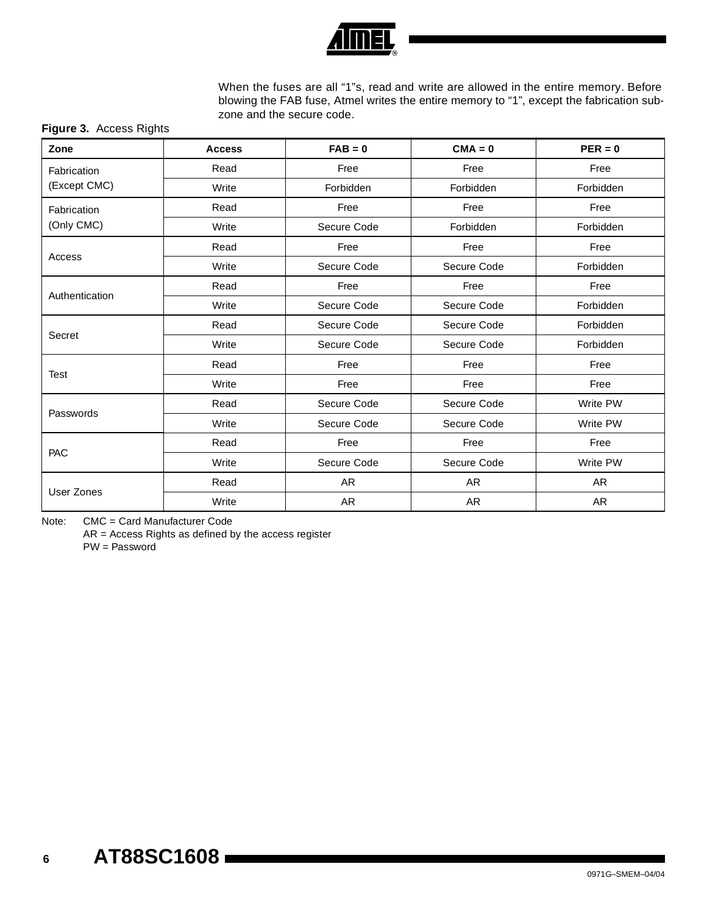

When the fuses are all "1"s, read and write are allowed in the entire memory. Before blowing the FAB fuse, Atmel writes the entire memory to "1", except the fabrication subzone and the secure code.

## **Figure 3.** Access Rights

| Zone              | <b>Access</b> | $FAB = 0$                  | $CMA = 0$   | $PER = 0$ |
|-------------------|---------------|----------------------------|-------------|-----------|
| Fabrication       | Read          | Free                       | Free        | Free      |
| (Except CMC)      | Write         | Forbidden                  | Forbidden   | Forbidden |
| Fabrication       | Read          | Free                       | Free        | Free      |
| (Only CMC)        | Write         | Secure Code                | Forbidden   | Forbidden |
|                   | Read          | Free                       | Free        | Free      |
| Access            | Write         | Secure Code                | Secure Code | Forbidden |
|                   | Read          | Free                       | Free        | Free      |
| Authentication    | Write         | Secure Code                | Secure Code | Forbidden |
|                   | Read          | Secure Code<br>Secure Code |             | Forbidden |
| Secret            | Write         | Secure Code<br>Secure Code |             | Forbidden |
|                   | Read          | Free                       | Free        | Free      |
| Test              | Write         | Free                       | Free        | Free      |
|                   | Read          | Secure Code                | Secure Code | Write PW  |
| Passwords         | Write         | Secure Code                | Secure Code | Write PW  |
|                   | Read          | Free                       | Free        | Free      |
| PAC               | Write         | Secure Code                | Secure Code |           |
|                   | Read          | AR                         | AR          | AR        |
| <b>User Zones</b> | Write         | AR                         | AR          | AR        |

Note: CMC = Card Manufacturer Code

AR = Access Rights as defined by the access register

PW = Password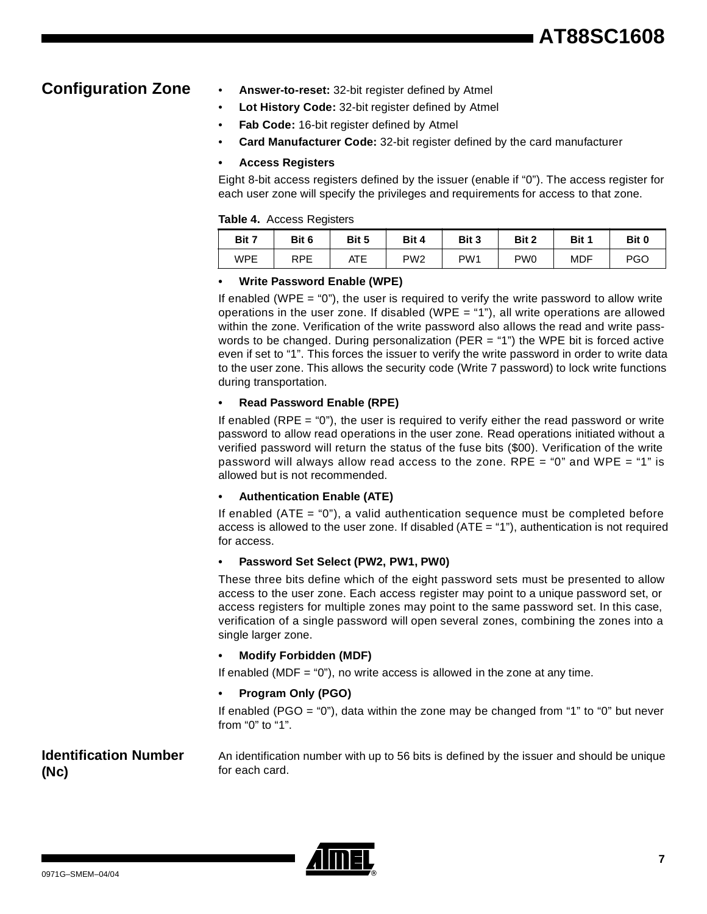- **Configuration Zone Answer-to-reset:** 32-bit register defined by Atmel
	- **Lot History Code:** 32-bit register defined by Atmel
	- Fab Code: 16-bit register defined by Atmel
	- **Card Manufacturer Code:** 32-bit register defined by the card manufacturer

## **• Access Registers**

Eight 8-bit access registers defined by the issuer (enable if "0"). The access register for each user zone will specify the privileges and requirements for access to that zone.

## **Table 4.** Access Registers

|       | . .   |       |                 |                 |                 |       |       |
|-------|-------|-------|-----------------|-----------------|-----------------|-------|-------|
| Bit 7 | Bit 6 | Bit 5 | Bit 4           | Bit 3           | Bit 2           | Bit 1 | Bit 0 |
| WPE   | RPE   | ATE   | PW <sub>2</sub> | PW <sub>1</sub> | PW <sub>0</sub> | MDF   | PGO   |

## **• Write Password Enable (WPE)**

If enabled (WPE  $=$  "0"), the user is required to verify the write password to allow write operations in the user zone. If disabled (WPE  $=$  "1"), all write operations are allowed within the zone. Verification of the write password also allows the read and write passwords to be changed. During personalization (PER = "1") the WPE bit is forced active even if set to "1". This forces the issuer to verify the write password in order to write data to the user zone. This allows the security code (Write 7 password) to lock write functions during transportation.

## **• Read Password Enable (RPE)**

If enabled (RPE  $=$  "0"), the user is required to verify either the read password or write password to allow read operations in the user zone. Read operations initiated without a verified password will return the status of the fuse bits (\$00). Verification of the write password will always allow read access to the zone. RPE = "0" and WPE = "1" is allowed but is not recommended.

## **• Authentication Enable (ATE)**

If enabled (ATE =  $0$ "), a valid authentication sequence must be completed before access is allowed to the user zone. If disabled (ATE = "1"), authentication is not required for access.

## **• Password Set Select (PW2, PW1, PW0)**

These three bits define which of the eight password sets must be presented to allow access to the user zone. Each access register may point to a unique password set, or access registers for multiple zones may point to the same password set. In this case, verification of a single password will open several zones, combining the zones into a single larger zone.

## **• Modify Forbidden (MDF)**

If enabled (MDF = "0"), no write access is allowed in the zone at any time.

## **• Program Only (PGO)**

If enabled (PGO = "0"), data within the zone may be changed from "1" to "0" but never from "0" to "1".

## **Identification Number (Nc)**

An identification number with up to 56 bits is defined by the issuer and should be unique for each card.

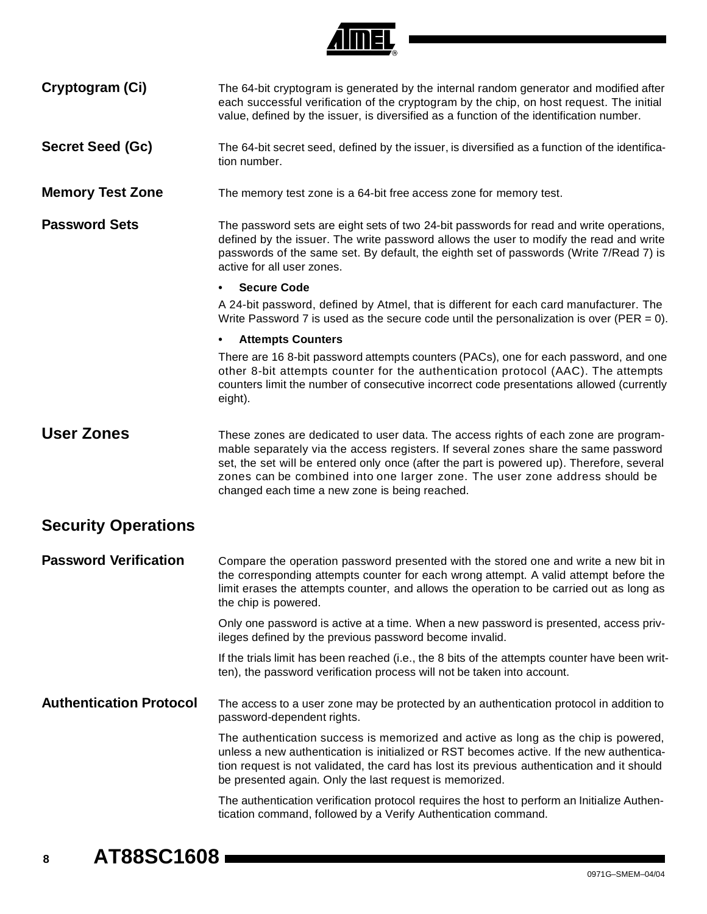

Cryptogram (Ci) The 64-bit cryptogram is generated by the internal random generator and modified after

|                                | each successful verification of the cryptogram by the chip, on host request. The initial<br>value, defined by the issuer, is diversified as a function of the identification number.                                                                                                                                                                                                                     |
|--------------------------------|----------------------------------------------------------------------------------------------------------------------------------------------------------------------------------------------------------------------------------------------------------------------------------------------------------------------------------------------------------------------------------------------------------|
| <b>Secret Seed (Gc)</b>        | The 64-bit secret seed, defined by the issuer, is diversified as a function of the identifica-<br>tion number.                                                                                                                                                                                                                                                                                           |
| <b>Memory Test Zone</b>        | The memory test zone is a 64-bit free access zone for memory test.                                                                                                                                                                                                                                                                                                                                       |
| <b>Password Sets</b>           | The password sets are eight sets of two 24-bit passwords for read and write operations,<br>defined by the issuer. The write password allows the user to modify the read and write<br>passwords of the same set. By default, the eighth set of passwords (Write 7/Read 7) is<br>active for all user zones.                                                                                                |
|                                | <b>Secure Code</b>                                                                                                                                                                                                                                                                                                                                                                                       |
|                                | A 24-bit password, defined by Atmel, that is different for each card manufacturer. The<br>Write Password 7 is used as the secure code until the personalization is over (PER = 0).                                                                                                                                                                                                                       |
|                                | <b>Attempts Counters</b>                                                                                                                                                                                                                                                                                                                                                                                 |
|                                | There are 16 8-bit password attempts counters (PACs), one for each password, and one<br>other 8-bit attempts counter for the authentication protocol (AAC). The attempts<br>counters limit the number of consecutive incorrect code presentations allowed (currently<br>eight).                                                                                                                          |
| <b>User Zones</b>              | These zones are dedicated to user data. The access rights of each zone are program-<br>mable separately via the access registers. If several zones share the same password<br>set, the set will be entered only once (after the part is powered up). Therefore, several<br>zones can be combined into one larger zone. The user zone address should be<br>changed each time a new zone is being reached. |
| <b>Security Operations</b>     |                                                                                                                                                                                                                                                                                                                                                                                                          |
| <b>Password Verification</b>   | Compare the operation password presented with the stored one and write a new bit in<br>the corresponding attempts counter for each wrong attempt. A valid attempt before the<br>limit erases the attempts counter, and allows the operation to be carried out as long as<br>the chip is powered.                                                                                                         |
|                                | Only one password is active at a time. When a new password is presented, access priv-<br>ileges defined by the previous password become invalid.                                                                                                                                                                                                                                                         |
|                                | If the trials limit has been reached (i.e., the 8 bits of the attempts counter have been writ-<br>ten), the password verification process will not be taken into account.                                                                                                                                                                                                                                |
| <b>Authentication Protocol</b> | The access to a user zone may be protected by an authentication protocol in addition to<br>password-dependent rights.                                                                                                                                                                                                                                                                                    |
|                                | The authentication success is memorized and active as long as the chip is powered,<br>unless a new authentication is initialized or RST becomes active. If the new authentica-<br>tion request is not validated, the card has lost its previous authentication and it should<br>be presented again. Only the last request is memorized.                                                                  |
|                                | The authentication verification protocol requires the host to perform an Initialize Authen-<br>tication command, followed by a Verify Authentication command.                                                                                                                                                                                                                                            |
|                                |                                                                                                                                                                                                                                                                                                                                                                                                          |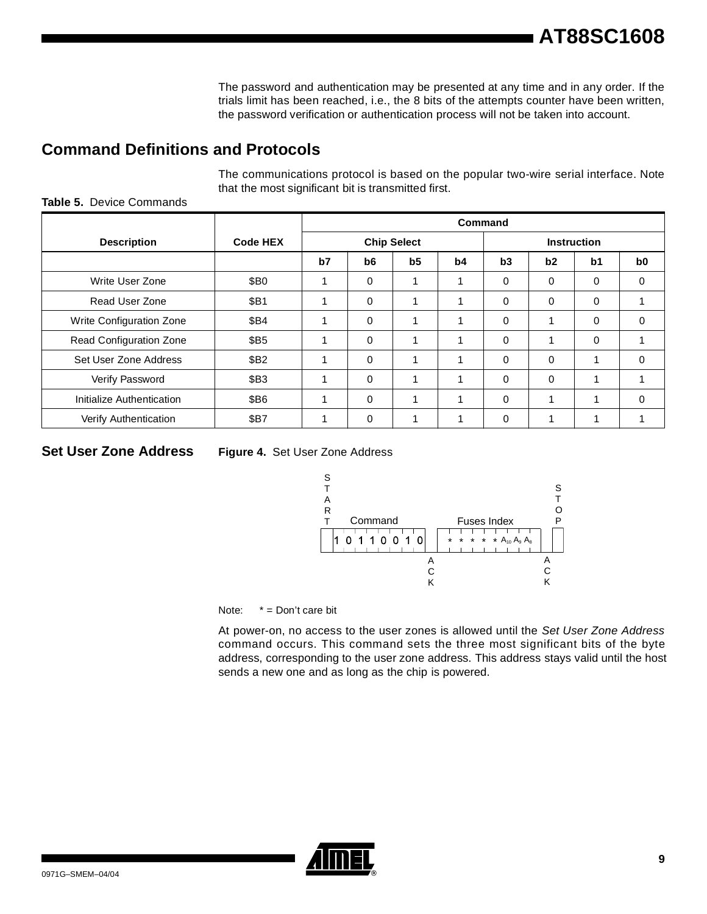The password and authentication may be presented at any time and in any order. If the trials limit has been reached, i.e., the 8 bits of the attempts counter have been written, the password verification or authentication process will not be taken into account.

# **Command Definitions and Protocols**

The communications protocol is based on the popular two-wire serial interface. Note that the most significant bit is transmitted first.

|                           |                  | Command |          |                    |    |                    |             |                |                |
|---------------------------|------------------|---------|----------|--------------------|----|--------------------|-------------|----------------|----------------|
| <b>Description</b>        | <b>Code HEX</b>  |         |          | <b>Chip Select</b> |    | <b>Instruction</b> |             |                |                |
|                           |                  | b7      | b6       | b5                 | b4 | b3                 | b2          | b <sub>1</sub> | b <sub>0</sub> |
| Write User Zone           | \$B <sub>0</sub> |         | $\Omega$ | 1                  |    | 0                  | 0           | $\Omega$       | $\Omega$       |
| Read User Zone            | \$B1             |         | 0        | 1                  |    | 0                  | 0           | $\mathbf 0$    |                |
| Write Configuration Zone  | \$B4             |         | $\Omega$ | 1                  | 1  | 0                  | $\mathbf 1$ | $\Omega$       | $\Omega$       |
| Read Configuration Zone   | \$B5             |         | $\Omega$ | 1                  |    | 0                  |             | $\Omega$       |                |
| Set User Zone Address     | \$B2             |         | $\Omega$ | 1                  |    | 0                  | $\Omega$    |                | 0              |
| Verify Password           | \$B3             |         | $\Omega$ | 1                  | 1  | 0                  | $\Omega$    |                |                |
| Initialize Authentication | \$B6             |         | $\Omega$ | 1                  |    | 0                  | 1           |                | $\Omega$       |
| Verify Authentication     | <b>\$B7</b>      |         | $\Omega$ | 1                  |    | 0                  | ◢           |                |                |

## **Table 5.** Device Commands

**Set User Zone Address Figure 4.** Set User Zone Address



Note: \* = Don't care bit

At power-on, no access to the user zones is allowed until the Set User Zone Address command occurs. This command sets the three most significant bits of the byte address, corresponding to the user zone address. This address stays valid until the host sends a new one and as long as the chip is powered.

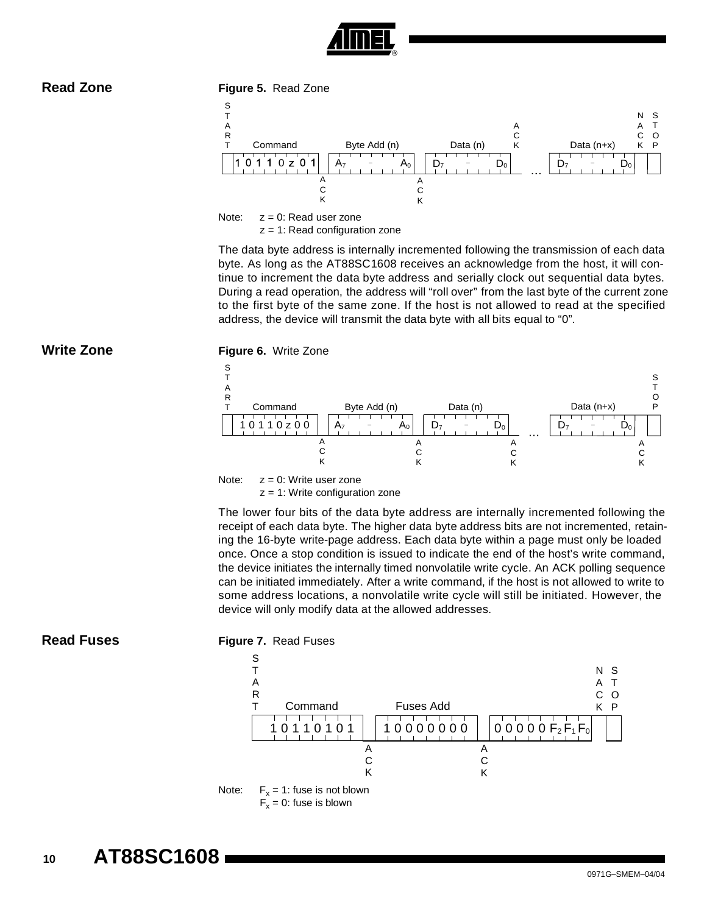

**Read Zone Figure 5.** Read Zone



Note:  $z = 0$ : Read user zone  $z = 1$ : Read configuration zone

The data byte address is internally incremented following the transmission of each data byte. As long as the AT88SC1608 receives an acknowledge from the host, it will continue to increment the data byte address and serially clock out sequential data bytes. During a read operation, the address will "roll over" from the last byte of the current zone to the first byte of the same zone. If the host is not allowed to read at the specified address, the device will transmit the data byte with all bits equal to "0".



 $z = 1$ : Write configuration zone

The lower four bits of the data byte address are internally incremented following the receipt of each data byte. The higher data byte address bits are not incremented, retaining the 16-byte write-page address. Each data byte within a page must only be loaded once. Once a stop condition is issued to indicate the end of the host's write command, the device initiates the internally timed nonvolatile write cycle. An ACK polling sequence can be initiated immediately. After a write command, if the host is not allowed to write to some address locations, a nonvolatile write cycle will still be initiated. However, the device will only modify data at the allowed addresses.



**Read Fuses Figure 7.** Read Fuses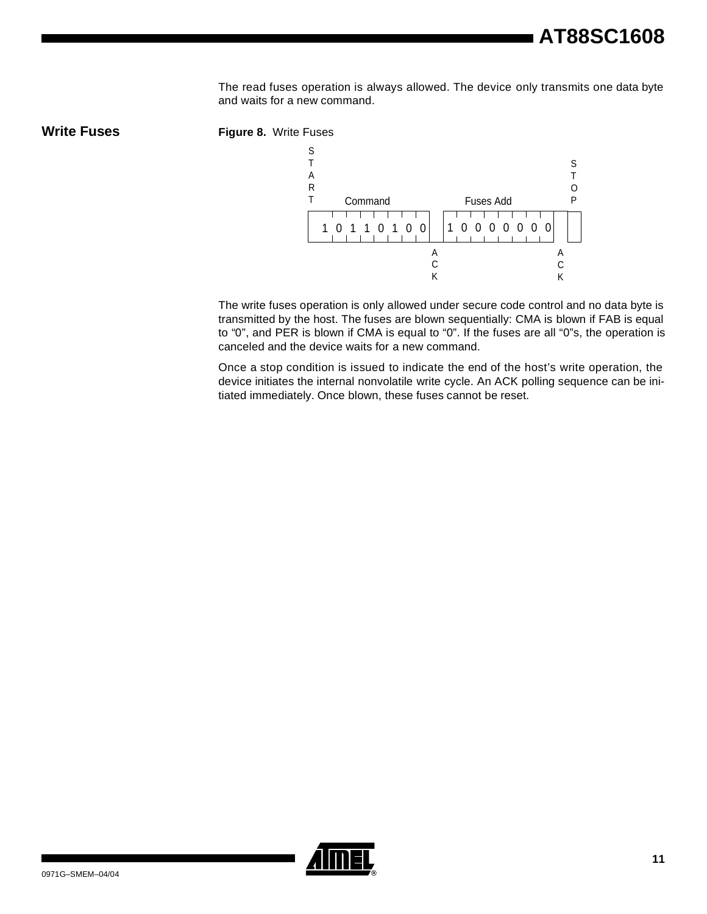The read fuses operation is always allowed. The device only transmits one data byte and waits for a new command.





The write fuses operation is only allowed under secure code control and no data byte is transmitted by the host. The fuses are blown sequentially: CMA is blown if FAB is equal to "0", and PER is blown if CMA is equal to "0". If the fuses are all "0"s, the operation is canceled and the device waits for a new command.

Once a stop condition is issued to indicate the end of the host's write operation, the device initiates the internal nonvolatile write cycle. An ACK polling sequence can be initiated immediately. Once blown, these fuses cannot be reset.

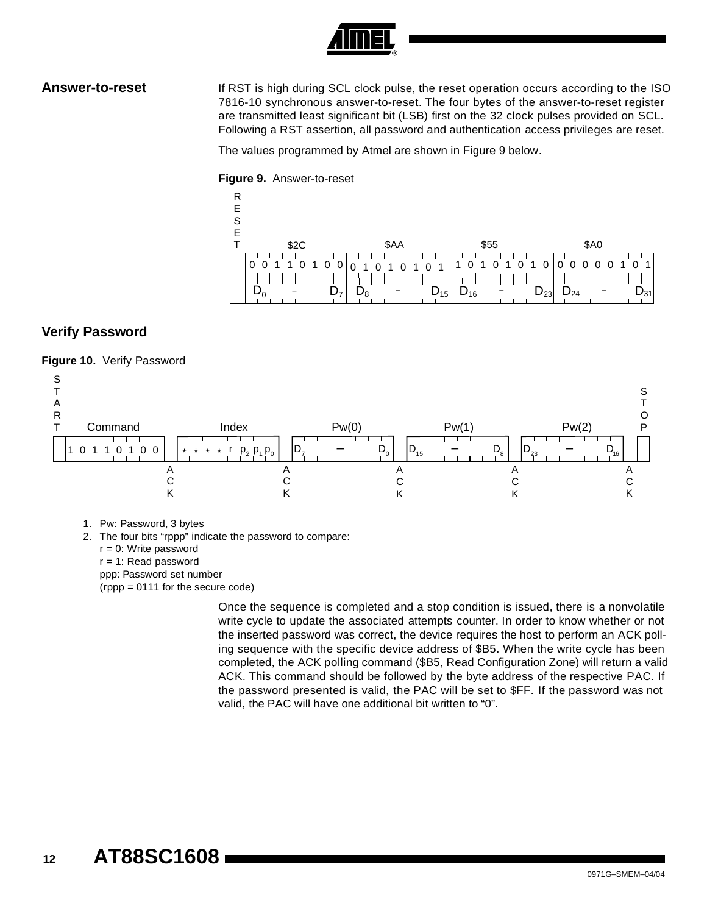**Answer-to-reset** If RST is high during SCL clock pulse, the reset operation occurs according to the ISO 7816-10 synchronous answer-to-reset. The four bytes of the answer-to-reset register are transmitted least significant bit (LSB) first on the 32 clock pulses provided on SCL. Following a RST assertion, all password and authentication access privileges are reset.

The values programmed by Atmel are shown in [Figure 9](#page-11-0) below.

### <span id="page-11-0"></span>**Figure 9.** Answer-to-reset



# **Verify Password**

## **Figure 10.** Verify Password



- 1. Pw: Password, 3 bytes
- 2. The four bits "rppp" indicate the password to compare:
	- $r = 0$ : Write password
	- r = 1: Read password
	- ppp: Password set number
	- (rppp = 0111 for the secure code)

Once the sequence is completed and a stop condition is issued, there is a nonvolatile write cycle to update the associated attempts counter. In order to know whether or not the inserted password was correct, the device requires the host to perform an ACK polling sequence with the specific device address of \$B5. When the write cycle has been completed, the ACK polling command (\$B5, Read Configuration Zone) will return a valid ACK. This command should be followed by the byte address of the respective PAC. If the password presented is valid, the PAC will be set to \$FF. If the password was not valid, the PAC will have one additional bit written to "0".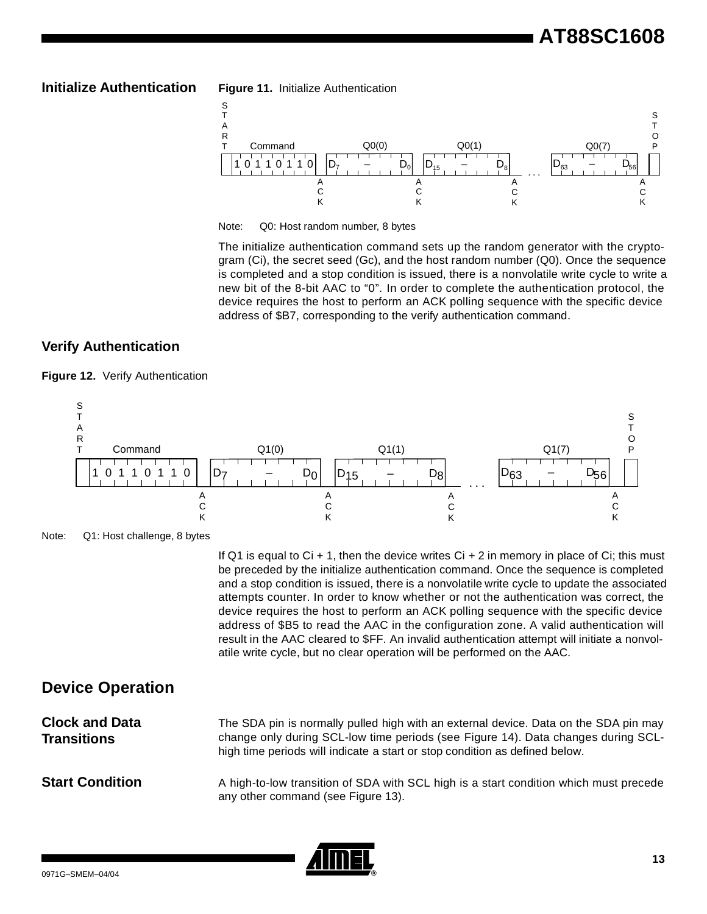



Note: Q0: Host random number, 8 bytes

The initialize authentication command sets up the random generator with the cryptogram (Ci), the secret seed (Gc), and the host random number (Q0). Once the sequence is completed and a stop condition is issued, there is a nonvolatile write cycle to write a new bit of the 8-bit AAC to "0". In order to complete the authentication protocol, the device requires the host to perform an ACK polling sequence with the specific device address of \$B7, corresponding to the verify authentication command.

## **Verify Authentication**







If Q1 is equal to  $Ci + 1$ , then the device writes  $Ci + 2$  in memory in place of  $Ci$ ; this must be preceded by the initialize authentication command. Once the sequence is completed and a stop condition is issued, there is a nonvolatile write cycle to update the associated attempts counter. In order to know whether or not the authentication was correct, the device requires the host to perform an ACK polling sequence with the specific device address of \$B5 to read the AAC in the configuration zone. A valid authentication will result in the AAC cleared to \$FF. An invalid authentication attempt will initiate a nonvolatile write cycle, but no clear operation will be performed on the AAC.

# **Device Operation**

| <b>Clock and Data</b> | The SDA pin is normally pulled high with an external device. Data on the SDA pin may                                                                             |
|-----------------------|------------------------------------------------------------------------------------------------------------------------------------------------------------------|
| <b>Transitions</b>    | change only during SCL-low time periods (see Figure 14). Data changes during SCL-<br>high time periods will indicate a start or stop condition as defined below. |
|                       |                                                                                                                                                                  |



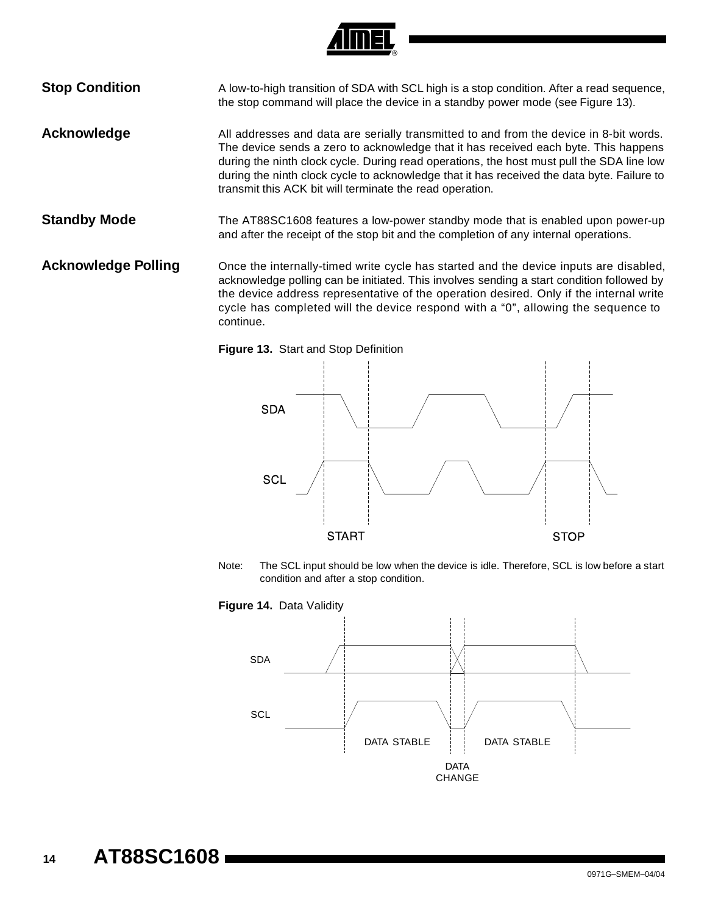

**Stop Condition** A low-to-high transition of SDA with SCL high is a stop condition. After a read sequence, the stop command will place the device in a standby power mode (see [Figure 13\)](#page-13-0).

Acknowledge **All addresses and data are serially transmitted to and from the device in 8-bit words.** The device sends a zero to acknowledge that it has received each byte. This happens during the ninth clock cycle. During read operations, the host must pull the SDA line low during the ninth clock cycle to acknowledge that it has received the data byte. Failure to transmit this ACK bit will terminate the read operation.

**Standby Mode** The AT88SC1608 features a low-power standby mode that is enabled upon power-up and after the receipt of the stop bit and the completion of any internal operations.

**Acknowledge Polling** Once the internally-timed write cycle has started and the device inputs are disabled, acknowledge polling can be initiated. This involves sending a start condition followed by the device address representative of the operation desired. Only if the internal write cycle has completed will the device respond with a "0", allowing the sequence to continue.

<span id="page-13-0"></span>



Note: The SCL input should be low when the device is idle. Therefore, SCL is low before a start condition and after a stop condition.

<span id="page-13-1"></span>

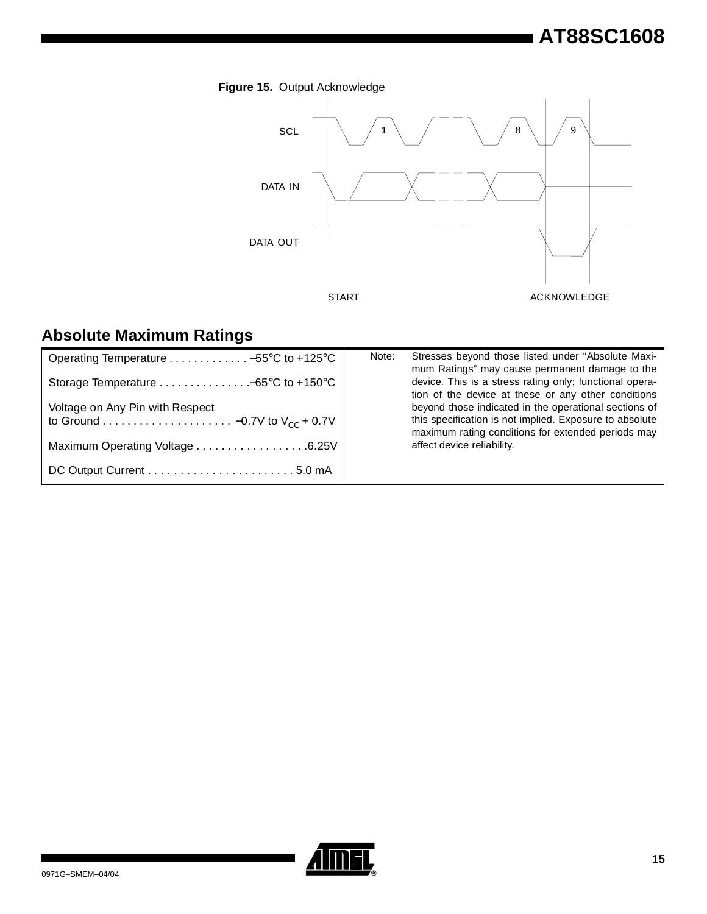# **AT88SC1608**



# **Absolute Maximum Ratings**

| Operating Temperature  -55°C to +125°C                                | Stresses beyond those listed under "Absolute Maxi-<br>Note:<br>mum Ratings" may cause permanent damage to the  |
|-----------------------------------------------------------------------|----------------------------------------------------------------------------------------------------------------|
| Storage Temperature $\dots\dots\dots\dots\dots-65^{\circ}C$ to +150°C | device. This is a stress rating only; functional opera-<br>tion of the device at these or any other conditions |
| Voltage on Any Pin with Respect                                       | beyond those indicated in the operational sections of                                                          |
|                                                                       | this specification is not implied. Exposure to absolute<br>maximum rating conditions for extended periods may  |
| Maximum Operating Voltage 6.25V                                       | affect device reliability.                                                                                     |
|                                                                       |                                                                                                                |

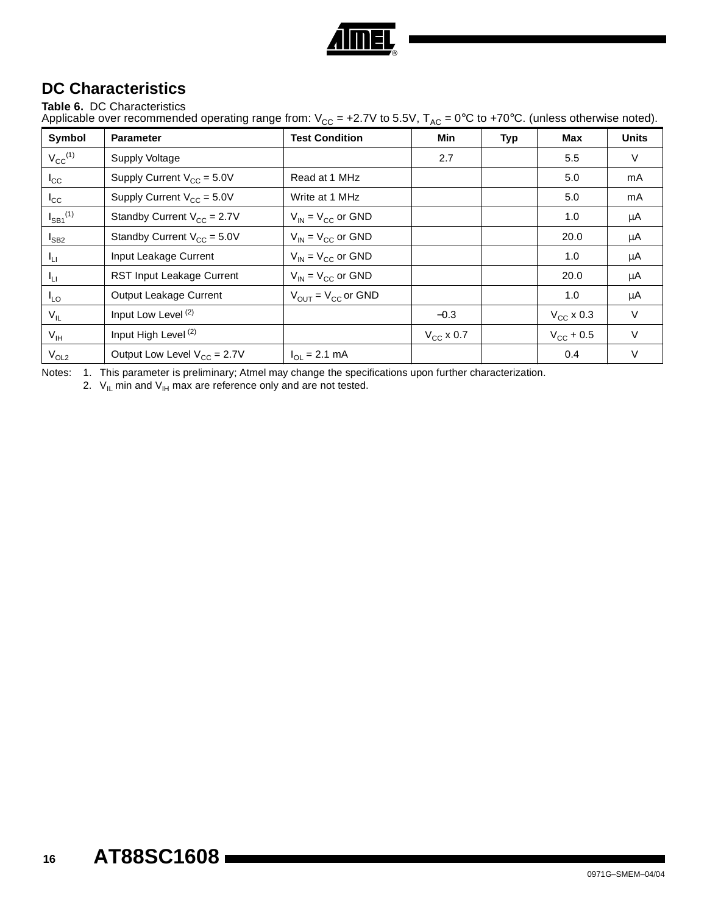

# **DC Characteristics**

## **Table 6.** DC Characteristics

Applicable over recommended operating range from:  $V_{CC}$  = +2.7V to 5.5V,  $T_{AC}$  = 0°C to +70°C. (unless otherwise noted).

| Symbol                   | <b>Parameter</b>                 | <b>Test Condition</b>                   | Min            | Typ | <b>Max</b>            | <b>Units</b> |
|--------------------------|----------------------------------|-----------------------------------------|----------------|-----|-----------------------|--------------|
| $V_{CC}^{(1)}$           | <b>Supply Voltage</b>            |                                         | 2.7            |     | 5.5                   | V            |
| $I_{\rm CC}$             | Supply Current $V_{CC} = 5.0V$   | Read at 1 MHz                           |                |     | 5.0                   | mA           |
| $I_{\rm CC}$             | Supply Current $V_{CC} = 5.0V$   | Write at 1 MHz                          |                |     | 5.0                   | mA           |
| $I_{SB1}$ <sup>(1)</sup> | Standby Current $V_{CC} = 2.7V$  | $V_{IN}$ = $V_{CC}$ or GND              |                |     | 1.0                   | μA           |
| $I_{SB2}$                | Standby Current $V_{CC} = 5.0V$  | $V_{IN}$ = $V_{CC}$ or GND              |                |     | 20.0                  | μA           |
| $I_{LI}$                 | Input Leakage Current            | $V_{IN} = V_{CC}$ or GND                |                |     | 1.0                   | μA           |
| $I_{L1}$                 | <b>RST Input Leakage Current</b> | $V_{IN} = V_{CC}$ or GND                |                |     | 20.0                  | μA           |
| $I_{LO}$                 | Output Leakage Current           | $V_{\text{OUT}} = V_{\text{CC}}$ or GND |                |     | 1.0                   | μA           |
| $V_{IL}$                 | Input Low Level <sup>(2)</sup>   |                                         | $-0.3$         |     | $V_{CC}$ x 0.3        | V            |
| $V_{\text{IH}}$          | Input High Level <sup>(2)</sup>  |                                         | $V_{CC}$ x 0.7 |     | $V_{\text{CC}} + 0.5$ | V            |
| $V_{OL2}$                | Output Low Level $V_{CC} = 2.7V$ | $I_{\Omega I} = 2.1$ mA                 |                |     | 0.4                   | V            |

Notes: 1. This parameter is preliminary; Atmel may change the specifications upon further characterization.

2.  $V_{\text{IL}}$  min and  $V_{\text{IH}}$  max are reference only and are not tested.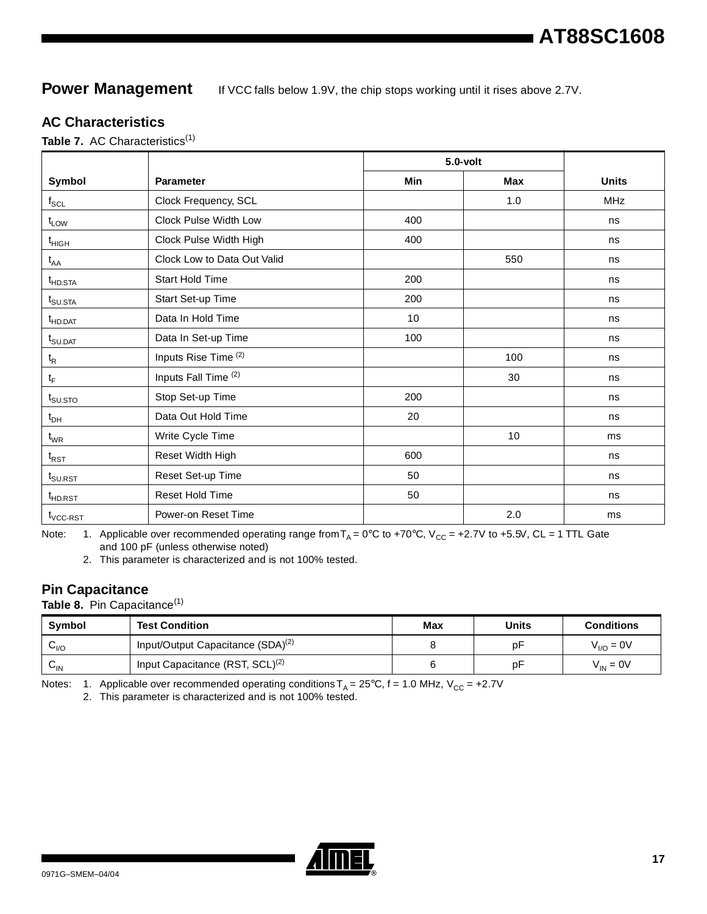# **Power Management** If VCC falls below 1.9V, the chip stops working until it rises above 2.7V.

## **AC Characteristics**

Table 7. AC Characteristics<sup>(1)</sup>

|                                                      |                                 |     | $5.0$ -volt |              |
|------------------------------------------------------|---------------------------------|-----|-------------|--------------|
| Symbol                                               | <b>Parameter</b>                | Min | <b>Max</b>  | <b>Units</b> |
| $\mathsf{f}_{\mathsf{SCL}}$                          | Clock Frequency, SCL            |     | 1.0         | <b>MHz</b>   |
| $t_{LOW}$                                            | Clock Pulse Width Low           | 400 |             | ns           |
| $t_{\mathsf{HIGH}}$                                  | Clock Pulse Width High          | 400 |             | ns           |
| $t_{AA}$                                             | Clock Low to Data Out Valid     |     | 550         | ns           |
| $t_{HD,STA}$                                         | <b>Start Hold Time</b>          | 200 |             | ns           |
| $t_{\text{SU,STA}}$                                  | Start Set-up Time               | 200 |             | ns           |
| t <sub>HD.DAT</sub>                                  | Data In Hold Time               | 10  |             | ns           |
| $t_{\scriptstyle\text{S} \cup \text{DAT}}$           | Data In Set-up Time             | 100 |             | ns           |
| $t_{\mathsf{R}}$                                     | Inputs Rise Time (2)            |     | 100         | ns           |
| $t_F$                                                | Inputs Fall Time <sup>(2)</sup> |     | 30          | ns           |
| $t_{\scriptstyle\text{SU,STO}}$                      | Stop Set-up Time                | 200 |             | ns           |
| $t_{DH}$                                             | Data Out Hold Time              | 20  |             | ns           |
| $t_{WR}$                                             | Write Cycle Time                |     | 10          | ms           |
| $\mathfrak{t}_{\scriptscriptstyle\mathrm{RST}}$      | Reset Width High                | 600 |             | ns           |
| ${\rm t}_{\scriptstyle\textrm{S} \cup \textrm{RST}}$ | Reset Set-up Time               | 50  |             | ns           |
| $t_{\scriptstyle \sf HDRST}$                         | Reset Hold Time                 | 50  |             | ns           |
| $t_{\text{VCC-RST}}$                                 | Power-on Reset Time             |     | 2.0         | ms           |

Note: 1. Applicable over recommended operating range from  $T_A = 0^\circ C$  to +70°C, V<sub>CC</sub> = +2.7V to +5.5V, CL = 1 TTL Gate and 100 pF (unless otherwise noted)

2. This parameter is characterized and is not 100% tested.

# **Pin Capacitance**

Table 8. Pin Capacitance<sup>(1)</sup>

| Symbol                     | <b>Test Condition</b>                                      | Max | Units | <b>Conditions</b> |
|----------------------------|------------------------------------------------------------|-----|-------|-------------------|
| ∽⊮⊂                        | <sup>'</sup> Input/Output Capacitance (SDA) <sup>(2)</sup> |     | p۲    | $V_{I/O} = 0V$    |
| $\mathsf{v}_{\mathsf{IN}}$ | Input Capacitance (RST, SCL) <sup>(2)</sup>                |     | p⊦    | $V_{IN} = 0V$     |

Notes: 1. Applicable over recommended operating conditions  $T_A = 25^\circ C$ , f = 1.0 MHz,  $V_{CC} = +2.7V$ 

2. This parameter is characterized and is not 100% tested.

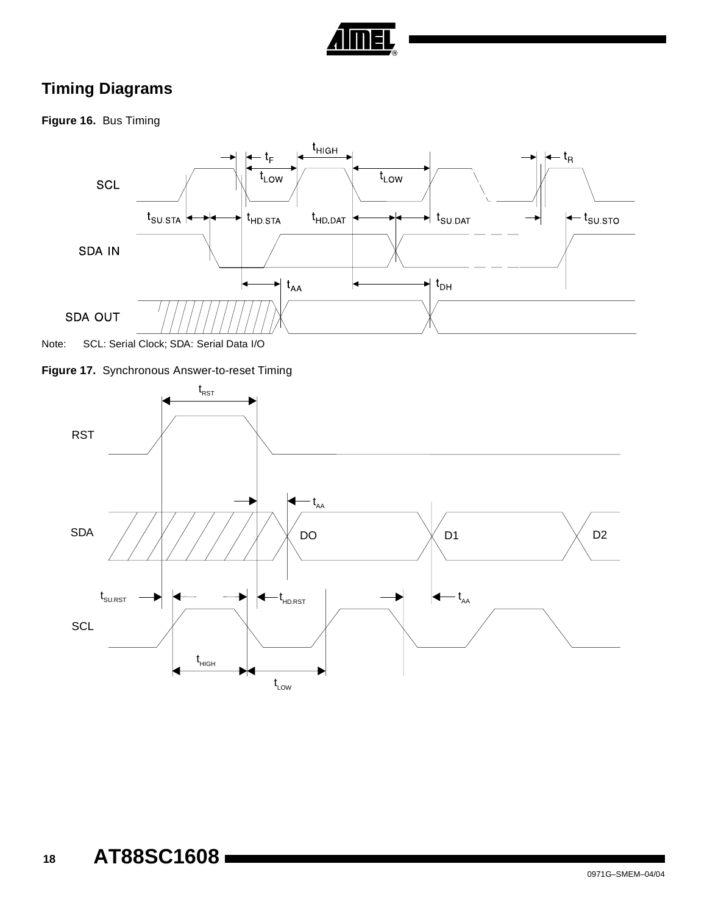

# **Timing Diagrams**

**Figure 16.** Bus Timing





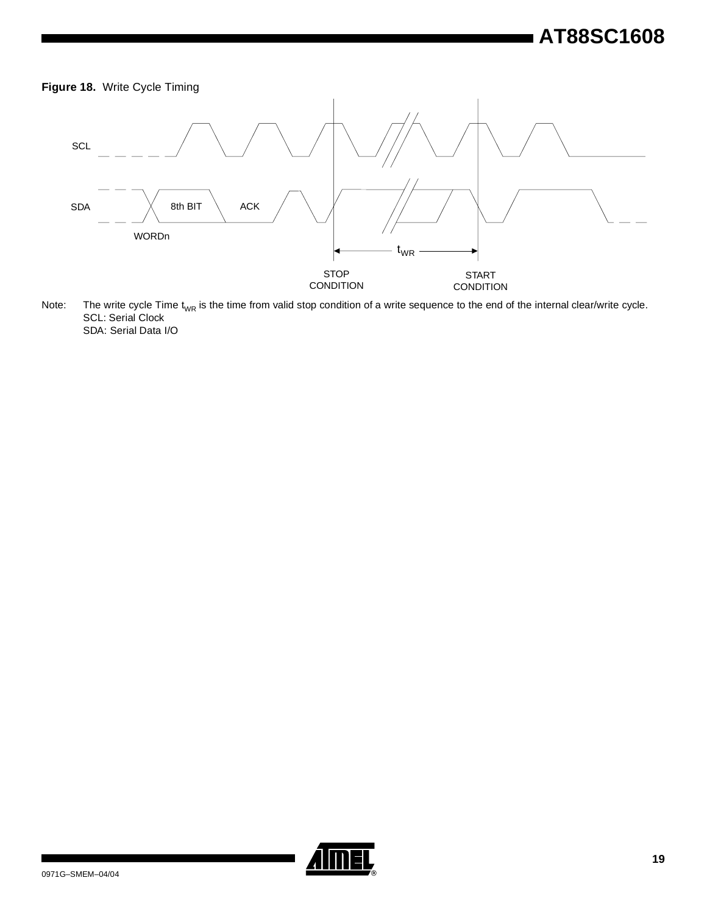# **AT88SC1608**





Note: The write cycle Time t<sub>WR</sub> is the time from valid stop condition of a write sequence to the end of the internal clear/write cycle. SCL: Serial Clock SDA: Serial Data I/O

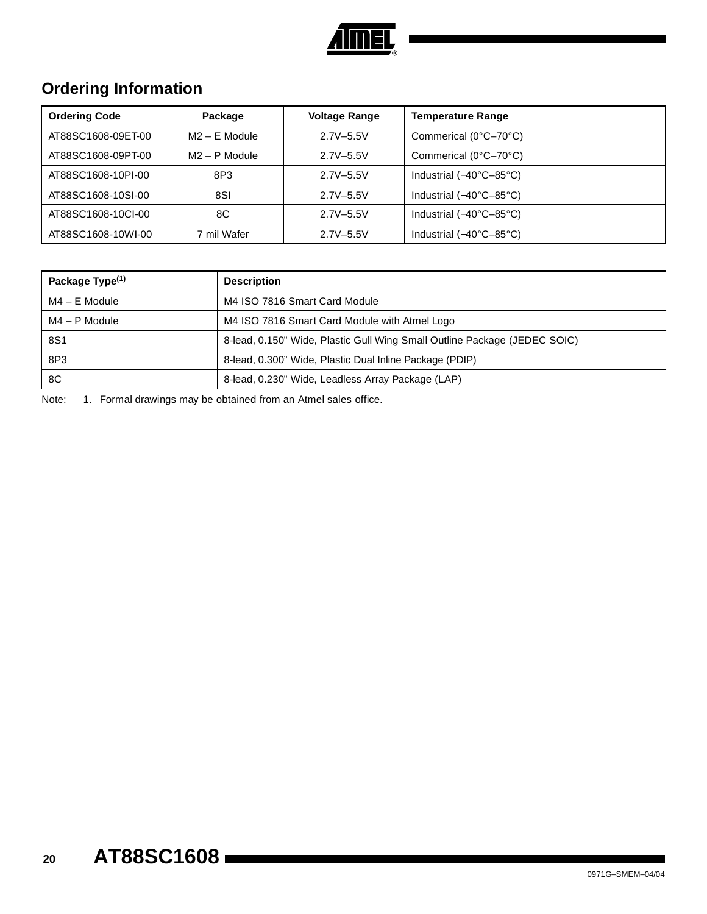

# **Ordering Information**

| <b>Ordering Code</b> | Package         | <b>Voltage Range</b> | <b>Temperature Range</b>                  |
|----------------------|-----------------|----------------------|-------------------------------------------|
| AT88SC1608-09ET-00   | $M2 - E$ Module | $2.7V - 5.5V$        | Commerical (0°C-70°C)                     |
| AT88SC1608-09PT-00   | $M2 - P$ Module | $2.7V - 5.5V$        | Commerical (0°C-70°C)                     |
| AT88SC1608-10PI-00   | 8P3             | $2.7V - 5.5V$        | Industrial $(-40^{\circ}C - 85^{\circ}C)$ |
| AT88SC1608-10SI-00   | 8SI             | $2.7V - 5.5V$        | Industrial $(-40^{\circ}C - 85^{\circ}C)$ |
| AT88SC1608-10CI-00   | 8C              | $2.7V - 5.5V$        | Industrial $(-40^{\circ}C - 85^{\circ}C)$ |
| AT88SC1608-10WI-00   | 7 mil Wafer     | $2.7V - 5.5V$        | Industrial $(-40^{\circ}C - 85^{\circ}C)$ |

| Package Type <sup>(1)</sup> | <b>Description</b>                                                        |
|-----------------------------|---------------------------------------------------------------------------|
| $MA - E$ Module             | M4 ISO 7816 Smart Card Module                                             |
| $MA - P$ Module             | M4 ISO 7816 Smart Card Module with Atmel Logo                             |
| 8S1                         | 8-lead, 0.150" Wide, Plastic Gull Wing Small Outline Package (JEDEC SOIC) |
| 8P3                         | 8-lead, 0.300" Wide, Plastic Dual Inline Package (PDIP)                   |
| 8C                          | 8-lead, 0.230" Wide, Leadless Array Package (LAP)                         |

Note: 1. Formal drawings may be obtained from an Atmel sales office.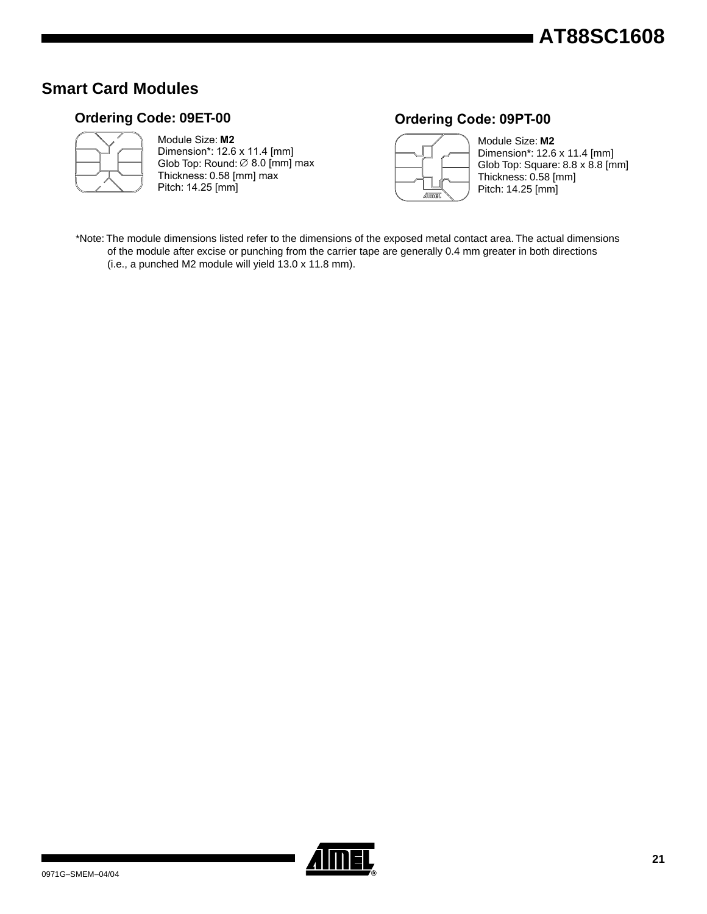# **Smart Card Modules**

# **Ordering Code: 09ET-00**



### Module Size: **M2** Dimension\*: 12.6 x 11.4 [mm] Thickness: 0.58 [mm] max Pitch: 14.25 [mm] Glob Top: Round:  $\varnothing$  8.0 [mm] max

# **Ordering Code: 09PT-00**



Module Size: **M2** Dimension\*: 12.6 x 11.4 [mm] Glob Top: Square: 8.8 x 8.8 [mm] Thickness: 0.58 [mm] Pitch: 14.25 [mm]

\*Note: The module dimensions listed refer to the dimensions of the exposed metal contact area. The actual dimensions of the module after excise or punching from the carrier tape are generally 0.4 mm greater in both directions (i.e., a punched M2 module will yield 13.0 x 11.8 mm).

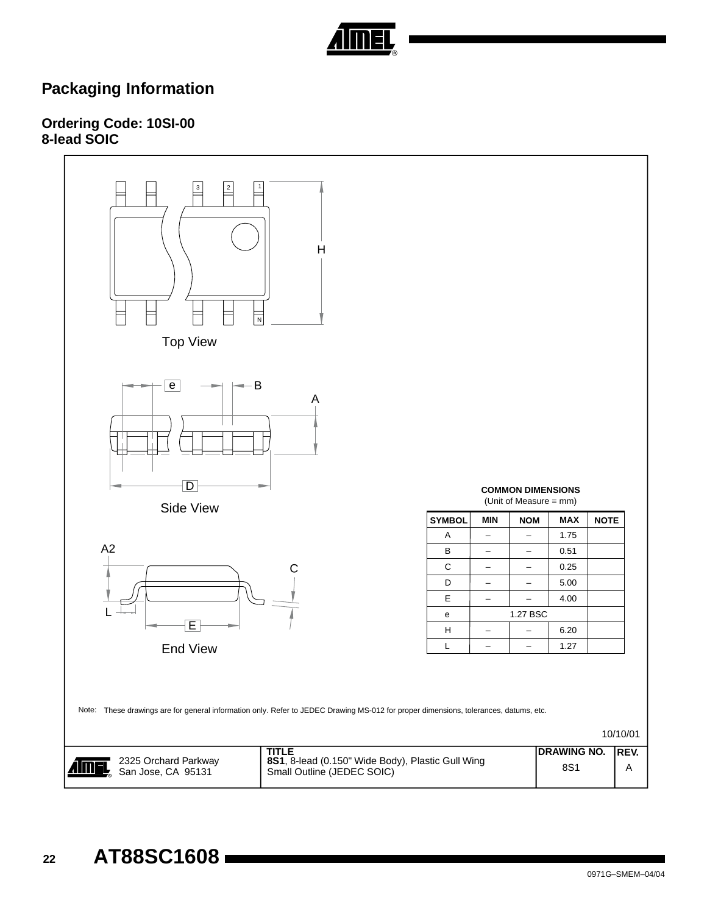

# **Packaging Information**

# **Ordering Code: 10SI-00 8-lead SOIC**

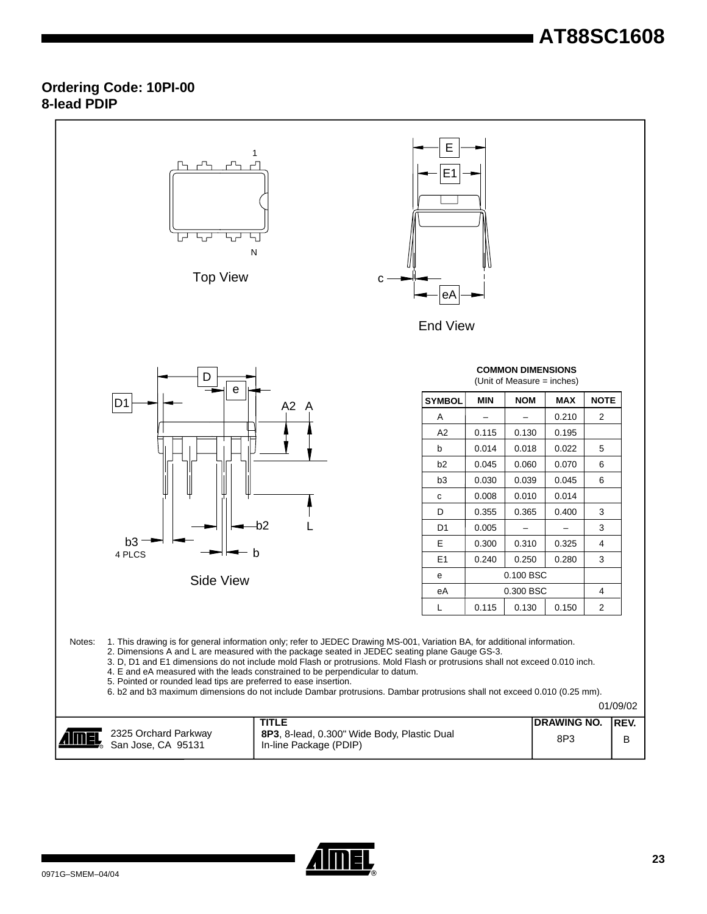# **AT88SC1608**

## **Ordering Code: 10PI-00 8-lead PDIP**

| <b>COMMON DIMENSIONS</b><br>D<br>(Unit of Measure = inches)<br>е<br><b>NOTE</b><br><b>SYMBOL</b><br><b>MIN</b><br><b>NOM</b><br><b>MAX</b><br>D <sub>1</sub><br>A <sub>2</sub> A<br>2<br>0.210<br>Α<br>$\qquad \qquad -$<br>A <sub>2</sub><br>0.115<br>0.130<br>0.195<br>b<br>0.014<br>0.018<br>0.022<br>5<br>b <sub>2</sub><br>0.045<br>0.060<br>0.070<br>6<br>6<br>b <sub>3</sub><br>0.030<br>0.039<br>0.045<br>0.008<br>0.010<br>0.014<br>с<br>D<br>0.355<br>0.365<br>0.400<br>3<br>$-b2$<br>3<br>D <sub>1</sub><br>0.005<br>$b3 -$<br>Е<br>0.300<br>0.310<br>0.325<br>4<br>- b<br>4 PLCS<br>0.250<br>E <sub>1</sub><br>0.240<br>0.280<br>3<br>0.100 BSC<br>e<br>Side View<br>0.300 BSC<br>eA<br>4<br>0.130<br>$\overline{2}$<br>0.115<br>0.150<br>L<br>1. This drawing is for general information only; refer to JEDEC Drawing MS-001, Variation BA, for additional information.<br>Notes:<br>2. Dimensions A and L are measured with the package seated in JEDEC seating plane Gauge GS-3.<br>3. D, D1 and E1 dimensions do not include mold Flash or protrusions. Mold Flash or protrusions shall not exceed 0.010 inch.<br>4. E and eA measured with the leads constrained to be perpendicular to datum.<br>5. Pointed or rounded lead tips are preferred to ease insertion.<br>6. b2 and b3 maximum dimensions do not include Dambar protrusions. Dambar protrusions shall not exceed 0.010 (0.25 mm).<br>01/09/02<br><b>TITLE</b><br><b>DRAWING NO.</b><br>REV.<br>2325 Orchard Parkway<br>8P3, 8-lead, 0.300" Wide Body, Plastic Dual<br>8P3<br>В | <b>Top View</b>    | 1<br>Ν<br>С            | Е<br>E <sub>1</sub><br>еA<br><b>End View</b> |  |  |  |  |
|-------------------------------------------------------------------------------------------------------------------------------------------------------------------------------------------------------------------------------------------------------------------------------------------------------------------------------------------------------------------------------------------------------------------------------------------------------------------------------------------------------------------------------------------------------------------------------------------------------------------------------------------------------------------------------------------------------------------------------------------------------------------------------------------------------------------------------------------------------------------------------------------------------------------------------------------------------------------------------------------------------------------------------------------------------------------------------------------------------------------------------------------------------------------------------------------------------------------------------------------------------------------------------------------------------------------------------------------------------------------------------------------------------------------------------------------------------------------------------------------------------------------------------------------------------------|--------------------|------------------------|----------------------------------------------|--|--|--|--|
|                                                                                                                                                                                                                                                                                                                                                                                                                                                                                                                                                                                                                                                                                                                                                                                                                                                                                                                                                                                                                                                                                                                                                                                                                                                                                                                                                                                                                                                                                                                                                             |                    |                        |                                              |  |  |  |  |
|                                                                                                                                                                                                                                                                                                                                                                                                                                                                                                                                                                                                                                                                                                                                                                                                                                                                                                                                                                                                                                                                                                                                                                                                                                                                                                                                                                                                                                                                                                                                                             |                    |                        |                                              |  |  |  |  |
|                                                                                                                                                                                                                                                                                                                                                                                                                                                                                                                                                                                                                                                                                                                                                                                                                                                                                                                                                                                                                                                                                                                                                                                                                                                                                                                                                                                                                                                                                                                                                             |                    |                        |                                              |  |  |  |  |
|                                                                                                                                                                                                                                                                                                                                                                                                                                                                                                                                                                                                                                                                                                                                                                                                                                                                                                                                                                                                                                                                                                                                                                                                                                                                                                                                                                                                                                                                                                                                                             |                    |                        |                                              |  |  |  |  |
|                                                                                                                                                                                                                                                                                                                                                                                                                                                                                                                                                                                                                                                                                                                                                                                                                                                                                                                                                                                                                                                                                                                                                                                                                                                                                                                                                                                                                                                                                                                                                             |                    |                        |                                              |  |  |  |  |
|                                                                                                                                                                                                                                                                                                                                                                                                                                                                                                                                                                                                                                                                                                                                                                                                                                                                                                                                                                                                                                                                                                                                                                                                                                                                                                                                                                                                                                                                                                                                                             |                    |                        |                                              |  |  |  |  |
|                                                                                                                                                                                                                                                                                                                                                                                                                                                                                                                                                                                                                                                                                                                                                                                                                                                                                                                                                                                                                                                                                                                                                                                                                                                                                                                                                                                                                                                                                                                                                             |                    |                        |                                              |  |  |  |  |
|                                                                                                                                                                                                                                                                                                                                                                                                                                                                                                                                                                                                                                                                                                                                                                                                                                                                                                                                                                                                                                                                                                                                                                                                                                                                                                                                                                                                                                                                                                                                                             |                    |                        |                                              |  |  |  |  |
|                                                                                                                                                                                                                                                                                                                                                                                                                                                                                                                                                                                                                                                                                                                                                                                                                                                                                                                                                                                                                                                                                                                                                                                                                                                                                                                                                                                                                                                                                                                                                             |                    |                        |                                              |  |  |  |  |
|                                                                                                                                                                                                                                                                                                                                                                                                                                                                                                                                                                                                                                                                                                                                                                                                                                                                                                                                                                                                                                                                                                                                                                                                                                                                                                                                                                                                                                                                                                                                                             |                    |                        |                                              |  |  |  |  |
|                                                                                                                                                                                                                                                                                                                                                                                                                                                                                                                                                                                                                                                                                                                                                                                                                                                                                                                                                                                                                                                                                                                                                                                                                                                                                                                                                                                                                                                                                                                                                             |                    |                        |                                              |  |  |  |  |
|                                                                                                                                                                                                                                                                                                                                                                                                                                                                                                                                                                                                                                                                                                                                                                                                                                                                                                                                                                                                                                                                                                                                                                                                                                                                                                                                                                                                                                                                                                                                                             |                    |                        |                                              |  |  |  |  |
|                                                                                                                                                                                                                                                                                                                                                                                                                                                                                                                                                                                                                                                                                                                                                                                                                                                                                                                                                                                                                                                                                                                                                                                                                                                                                                                                                                                                                                                                                                                                                             |                    |                        |                                              |  |  |  |  |
|                                                                                                                                                                                                                                                                                                                                                                                                                                                                                                                                                                                                                                                                                                                                                                                                                                                                                                                                                                                                                                                                                                                                                                                                                                                                                                                                                                                                                                                                                                                                                             |                    |                        |                                              |  |  |  |  |
|                                                                                                                                                                                                                                                                                                                                                                                                                                                                                                                                                                                                                                                                                                                                                                                                                                                                                                                                                                                                                                                                                                                                                                                                                                                                                                                                                                                                                                                                                                                                                             |                    |                        |                                              |  |  |  |  |
|                                                                                                                                                                                                                                                                                                                                                                                                                                                                                                                                                                                                                                                                                                                                                                                                                                                                                                                                                                                                                                                                                                                                                                                                                                                                                                                                                                                                                                                                                                                                                             |                    |                        |                                              |  |  |  |  |
|                                                                                                                                                                                                                                                                                                                                                                                                                                                                                                                                                                                                                                                                                                                                                                                                                                                                                                                                                                                                                                                                                                                                                                                                                                                                                                                                                                                                                                                                                                                                                             |                    |                        |                                              |  |  |  |  |
|                                                                                                                                                                                                                                                                                                                                                                                                                                                                                                                                                                                                                                                                                                                                                                                                                                                                                                                                                                                                                                                                                                                                                                                                                                                                                                                                                                                                                                                                                                                                                             | San Jose, CA 95131 | In-line Package (PDIP) |                                              |  |  |  |  |

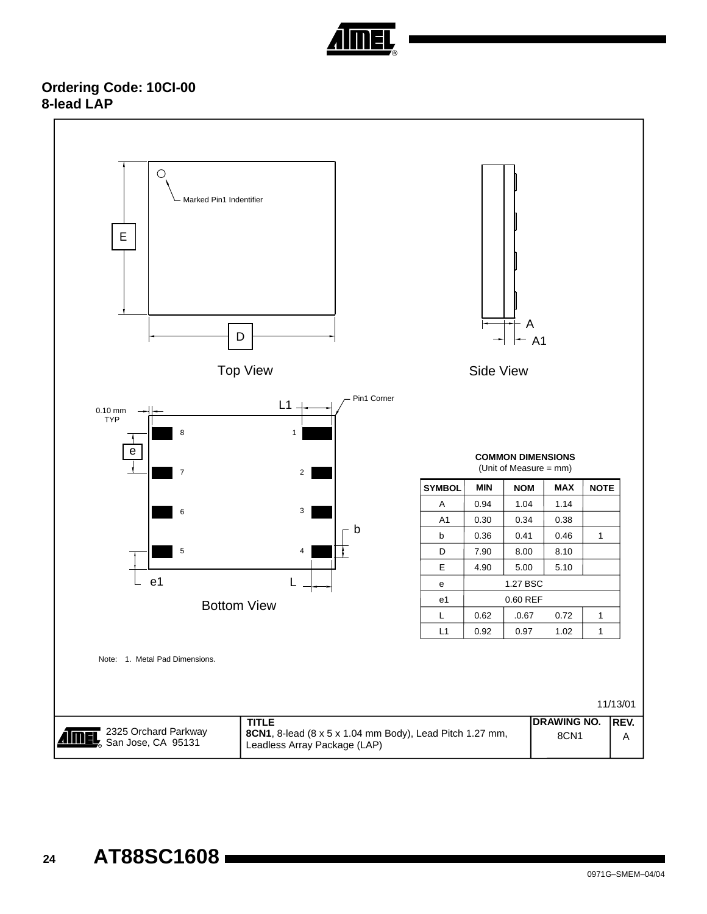

# **Ordering Code: 10CI-00 8-lead LAP**